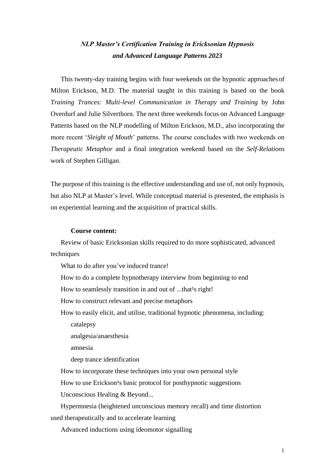# *NLP Master's Certification Training in Ericksonian Hypnosis and Advanced Language Patterns 2023*

This twenty-day training begins with four weekends on the hypnotic approachesof Milton Erickson, M.D. The material taught in this training is based on the book *Training Trances: Multi-level Communication in Therapy and Training* by John Overdurf and Julie Silverthorn. The next three weekends focus on Advanced Language Patterns based on the NLP modelling of Milton Erickson, M.D., also incorporating the more recent '*Sleight of Mouth*' patterns. The course concludes with two weekends on *Therapeutic Metaphor* and a final integration weekend based on the *Self-Relations*  work of Stephen Gilligan.

The purpose of this training is the effective understanding and use of, not only hypnosis, but also NLP at Master's level. While conceptual material is presented, the emphasis is on experiential learning and the acquisition of practical skills.

### **Course content:**

Review of basic Ericksonian skills required to do more sophisticated, advanced techniques

What to do after you've induced trance!

How to do a complete hypnotherapy interview from beginning to end

How to seamlessly transition in and out of ...that<sup>1</sup>s right!

How to construct relevant and precise metaphors

How to easily elicit, and utilise, traditional hypnotic phenomena, including: catalepsy

analgesia/anaesthesia

amnesia

deep trance identification

How to incorporate these techniques into your own personal style

How to use Erickson<sup>1</sup>s basic protocol for posthypnotic suggestions

Unconscious Healing & Beyond...

Hypermnesia (heightened unconscious memory recall) and time distortion used therapeutically and to accelerate learning

Advanced inductions using ideomotor signalling